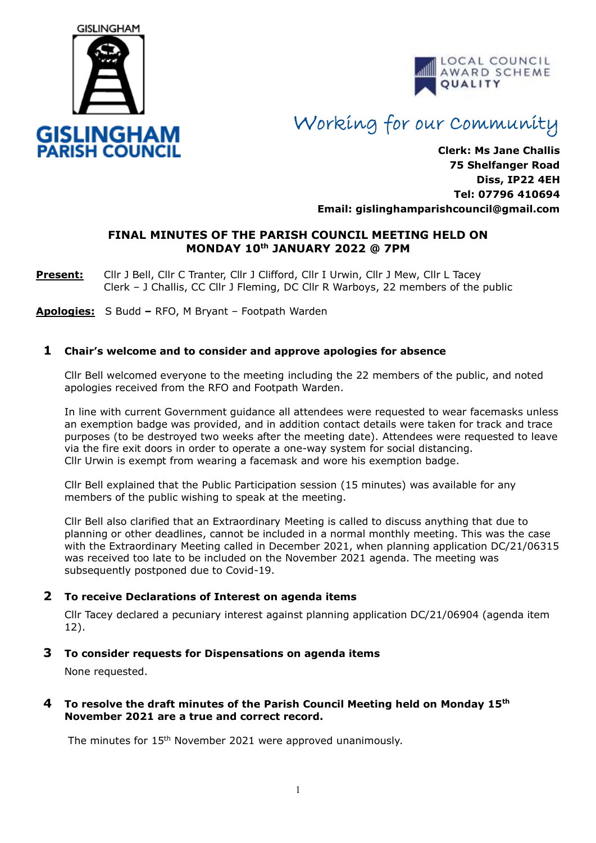



# Working for our Community

**Clerk: Ms Jane Challis 75 Shelfanger Road Diss, IP22 4EH Tel: 07796 410694 Email: [gislinghamparishcouncil@gmail.com](mailto:gislinghamparishcouncil@gmail.com)**

## **FINAL MINUTES OF THE PARISH COUNCIL MEETING HELD ON MONDAY 10th JANUARY 2022 @ 7PM**

**Present:** Cllr J Bell, Cllr C Tranter, Cllr J Clifford, Cllr I Urwin, Cllr J Mew, Cllr L Tacey Clerk – J Challis, CC Cllr J Fleming, DC Cllr R Warboys, 22 members of the public

**Apologies:** S Budd **–** RFO, M Bryant – Footpath Warden

## **1 Chair's welcome and to consider and approve apologies for absence**

Cllr Bell welcomed everyone to the meeting including the 22 members of the public, and noted apologies received from the RFO and Footpath Warden.

In line with current Government guidance all attendees were requested to wear facemasks unless an exemption badge was provided, and in addition contact details were taken for track and trace purposes (to be destroyed two weeks after the meeting date). Attendees were requested to leave via the fire exit doors in order to operate a one-way system for social distancing. Cllr Urwin is exempt from wearing a facemask and wore his exemption badge.

Cllr Bell explained that the Public Participation session (15 minutes) was available for any members of the public wishing to speak at the meeting.

Cllr Bell also clarified that an Extraordinary Meeting is called to discuss anything that due to planning or other deadlines, cannot be included in a normal monthly meeting. This was the case with the Extraordinary Meeting called in December 2021, when planning application DC/21/06315 was received too late to be included on the November 2021 agenda. The meeting was subsequently postponed due to Covid-19.

#### **2 To receive Declarations of Interest on agenda items**

 Cllr Tacey declared a pecuniary interest against planning application DC/21/06904 (agenda item 12).

#### **3 To consider requests for Dispensations on agenda items**

None requested.

#### **4 To resolve the draft minutes of the Parish Council Meeting held on Monday 15th November 2021 are a true and correct record.**

The minutes for 15<sup>th</sup> November 2021 were approved unanimously.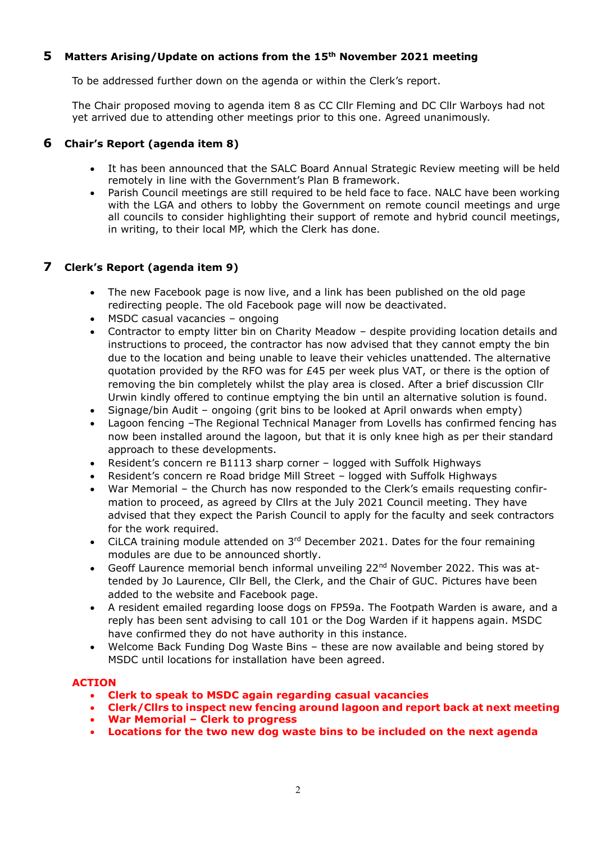## **5 Matters Arising/Update on actions from the 15th November 2021 meeting**

To be addressed further down on the agenda or within the Clerk's report.

The Chair proposed moving to agenda item 8 as CC Cllr Fleming and DC Cllr Warboys had not yet arrived due to attending other meetings prior to this one. Agreed unanimously.

## **6 Chair's Report (agenda item 8)**

- It has been announced that the SALC Board Annual Strategic Review meeting will be held remotely in line with the Government's Plan B framework.
- Parish Council meetings are still required to be held face to face. NALC have been working with the LGA and others to lobby the Government on remote council meetings and urge all councils to consider highlighting their support of remote and hybrid council meetings, in writing, to their local MP, which the Clerk has done.

## **7 Clerk's Report (agenda item 9)**

- The new Facebook page is now live, and a link has been published on the old page redirecting people. The old Facebook page will now be deactivated.
- MSDC casual vacancies ongoing
- Contractor to empty litter bin on Charity Meadow despite providing location details and instructions to proceed, the contractor has now advised that they cannot empty the bin due to the location and being unable to leave their vehicles unattended. The alternative quotation provided by the RFO was for  $£45$  per week plus VAT, or there is the option of removing the bin completely whilst the play area is closed. After a brief discussion Cllr Urwin kindly offered to continue emptying the bin until an alternative solution is found.
- Signage/bin Audit ongoing (grit bins to be looked at April onwards when empty)
- Lagoon fencing –The Regional Technical Manager from Lovells has confirmed fencing has now been installed around the lagoon, but that it is only knee high as per their standard approach to these developments.
- Resident's concern re B1113 sharp corner logged with Suffolk Highways
- Resident's concern re Road bridge Mill Street logged with Suffolk Highways
- War Memorial the Church has now responded to the Clerk's emails requesting confirmation to proceed, as agreed by Cllrs at the July 2021 Council meeting. They have advised that they expect the Parish Council to apply for the faculty and seek contractors for the work required.
- CiLCA training module attended on  $3<sup>rd</sup>$  December 2021. Dates for the four remaining modules are due to be announced shortly.
- Geoff Laurence memorial bench informal unveiling 22<sup>nd</sup> November 2022. This was attended by Jo Laurence, Cllr Bell, the Clerk, and the Chair of GUC. Pictures have been added to the website and Facebook page.
- A resident emailed regarding loose dogs on FP59a. The Footpath Warden is aware, and a reply has been sent advising to call 101 or the Dog Warden if it happens again. MSDC have confirmed they do not have authority in this instance.
- Welcome Back Funding Dog Waste Bins these are now available and being stored by MSDC until locations for installation have been agreed.

#### **ACTION**

- **Clerk to speak to MSDC again regarding casual vacancies**
- **Clerk/Cllrs to inspect new fencing around lagoon and report back at next meeting**
- **War Memorial – Clerk to progress**
- **Locations for the two new dog waste bins to be included on the next agenda**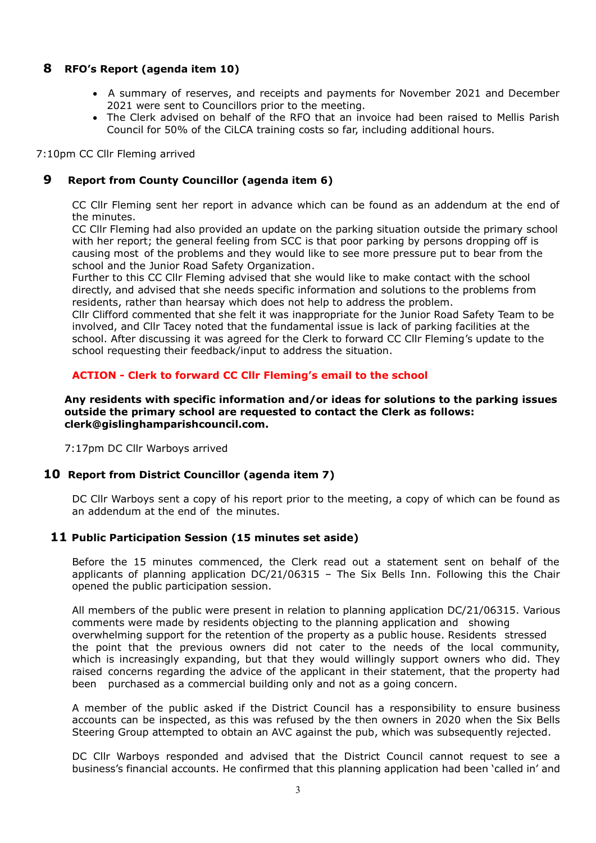## **8 RFO's Report (agenda item 10)**

- A summary of reserves, and receipts and payments for November 2021 and December 2021 were sent to Councillors prior to the meeting.
- The Clerk advised on behalf of the RFO that an invoice had been raised to Mellis Parish Council for 50% of the CiLCA training costs so far, including additional hours.

7:10pm CC Cllr Fleming arrived

## **9 Report from County Councillor (agenda item 6)**

CC Cllr Fleming sent her report in advance which can be found as an addendum at the end of the minutes.

CC Cllr Fleming had also provided an update on the parking situation outside the primary school with her report; the general feeling from SCC is that poor parking by persons dropping off is causing most of the problems and they would like to see more pressure put to bear from the school and the Junior Road Safety Organization.

Further to this CC Cllr Fleming advised that she would like to make contact with the school directly, and advised that she needs specific information and solutions to the problems from residents, rather than hearsay which does not help to address the problem.

Cllr Clifford commented that she felt it was inappropriate for the Junior Road Safety Team to be involved, and Cllr Tacey noted that the fundamental issue is lack of parking facilities at the school. After discussing it was agreed for the Clerk to forward CC Cllr Fleming's update to the school requesting their feedback/input to address the situation.

## **ACTION - Clerk to forward CC Cllr Fleming's email to the school**

**Any residents with specific information and/or ideas for solutions to the parking issues outside the primary school are requested to contact the Clerk as follows: clerk@gislinghamparishcouncil.com.**

7:17pm DC Cllr Warboys arrived

#### **10 Report from District Councillor (agenda item 7)**

DC Cllr Warboys sent a copy of his report prior to the meeting, a copy of which can be found as an addendum at the end of the minutes.

#### **11 Public Participation Session (15 minutes set aside)**

Before the 15 minutes commenced, the Clerk read out a statement sent on behalf of the applicants of planning application DC/21/06315 – The Six Bells Inn. Following this the Chair opened the public participation session.

All members of the public were present in relation to planning application DC/21/06315. Various comments were made by residents objecting to the planning application and showing overwhelming support for the retention of the property as a public house. Residents stressed the point that the previous owners did not cater to the needs of the local community, which is increasingly expanding, but that they would willingly support owners who did. They raised concerns regarding the advice of the applicant in their statement, that the property had been purchased as a commercial building only and not as a going concern.

A member of the public asked if the District Council has a responsibility to ensure business accounts can be inspected, as this was refused by the then owners in 2020 when the Six Bells Steering Group attempted to obtain an AVC against the pub, which was subsequently rejected.

DC Cllr Warboys responded and advised that the District Council cannot request to see a business's financial accounts. He confirmed that this planning application had been 'called in' and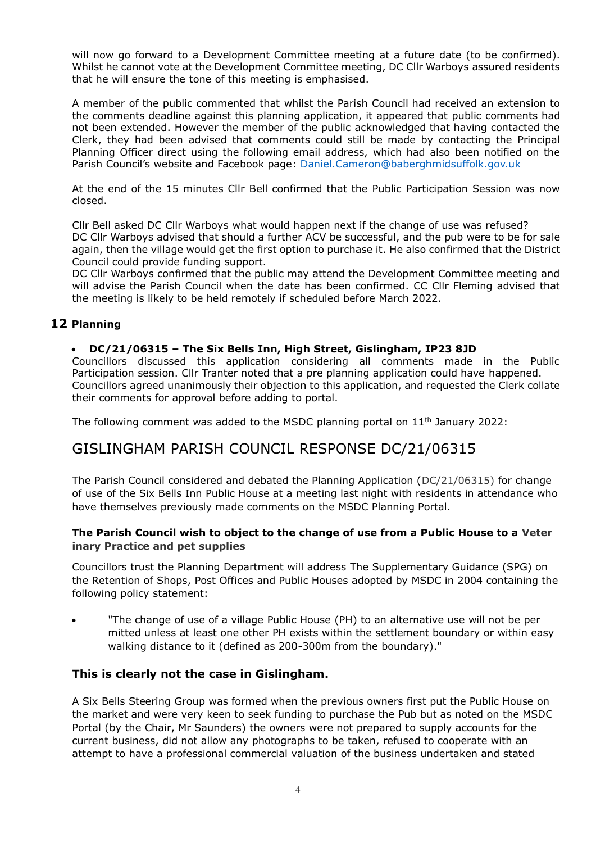will now go forward to a Development Committee meeting at a future date (to be confirmed). Whilst he cannot vote at the Development Committee meeting, DC Cllr Warboys assured residents that he will ensure the tone of this meeting is emphasised.

A member of the public commented that whilst the Parish Council had received an extension to the comments deadline against this planning application, it appeared that public comments had not been extended. However the member of the public acknowledged that having contacted the Clerk, they had been advised that comments could still be made by contacting the Principal Planning Officer direct using the following email address, which had also been notified on the Parish Council's website and Facebook page: [Daniel.Cameron@baberghmidsuffolk.gov.uk](mailto:Daniel.Cameron@baberghmidsuffolk.gov.uk)

At the end of the 15 minutes Cllr Bell confirmed that the Public Participation Session was now closed.

Cllr Bell asked DC Cllr Warboys what would happen next if the change of use was refused? DC Cllr Warboys advised that should a further ACV be successful, and the pub were to be for sale again, then the village would get the first option to purchase it. He also confirmed that the District Council could provide funding support.

DC Cllr Warboys confirmed that the public may attend the Development Committee meeting and will advise the Parish Council when the date has been confirmed. CC Cllr Fleming advised that the meeting is likely to be held remotely if scheduled before March 2022.

## **12 Planning**

#### • **DC/21/06315 – The Six Bells Inn, High Street, Gislingham, IP23 8JD**

Councillors discussed this application considering all comments made in the Public Participation session. Cllr Tranter noted that a pre planning application could have happened. Councillors agreed unanimously their objection to this application, and requested the Clerk collate their comments for approval before adding to portal.

The following comment was added to the MSDC planning portal on  $11<sup>th</sup>$  January 2022:

## GISLINGHAM PARISH COUNCIL RESPONSE DC/21/06315

The Parish Council considered and debated the Planning Application (DC/21/06315) for change of use of the Six Bells Inn Public House at a meeting last night with residents in attendance who have themselves previously made comments on the MSDC Planning Portal.

#### **The Parish Council wish to object to the change of use from a Public House to a Veter inary Practice and pet supplies**

Councillors trust the Planning Department will address The Supplementary Guidance (SPG) on the Retention of Shops, Post Offices and Public Houses adopted by MSDC in 2004 containing the following policy statement:

• "The change of use of a village Public House (PH) to an alternative use will not be per mitted unless at least one other PH exists within the settlement boundary or within easy walking distance to it (defined as 200-300m from the boundary)."

## **This is clearly not the case in Gislingham.**

A Six Bells Steering Group was formed when the previous owners first put the Public House on the market and were very keen to seek funding to purchase the Pub but as noted on the MSDC Portal (by the Chair, Mr Saunders) the owners were not prepared to supply accounts for the current business, did not allow any photographs to be taken, refused to cooperate with an attempt to have a professional commercial valuation of the business undertaken and stated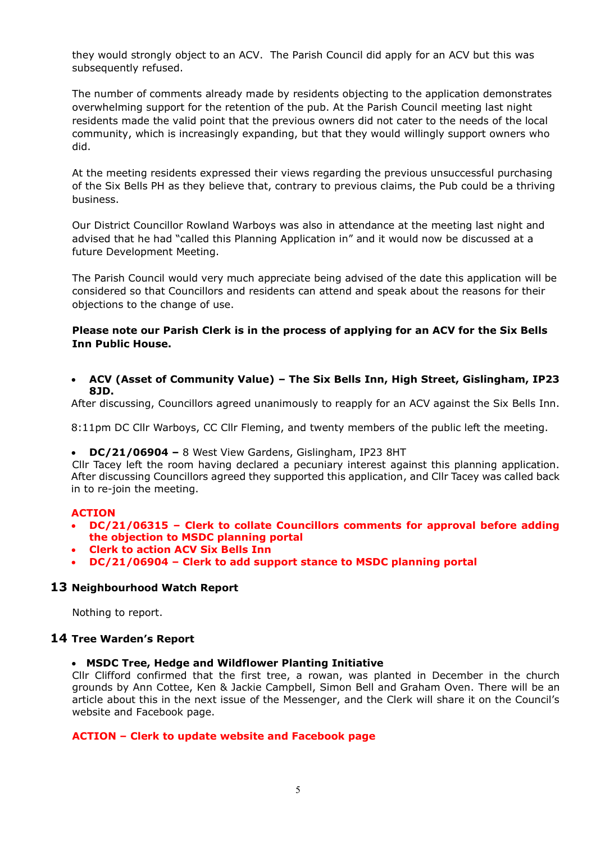they would strongly object to an ACV. The Parish Council did apply for an ACV but this was subsequently refused.

The number of comments already made by residents objecting to the application demonstrates overwhelming support for the retention of the pub. At the Parish Council meeting last night residents made the valid point that the previous owners did not cater to the needs of the local community, which is increasingly expanding, but that they would willingly support owners who did.

At the meeting residents expressed their views regarding the previous unsuccessful purchasing of the Six Bells PH as they believe that, contrary to previous claims, the Pub could be a thriving business.

Our District Councillor Rowland Warboys was also in attendance at the meeting last night and advised that he had "called this Planning Application in" and it would now be discussed at a future Development Meeting.

The Parish Council would very much appreciate being advised of the date this application will be considered so that Councillors and residents can attend and speak about the reasons for their objections to the change of use.

#### **Please note our Parish Clerk is in the process of applying for an ACV for the Six Bells Inn Public House.**

• **ACV (Asset of Community Value) – The Six Bells Inn, High Street, Gislingham, IP23 8JD.**

After discussing, Councillors agreed unanimously to reapply for an ACV against the Six Bells Inn.

8:11pm DC Cllr Warboys, CC Cllr Fleming, and twenty members of the public left the meeting.

• **DC/21/06904 –** 8 West View Gardens, Gislingham, IP23 8HT

Cllr Tacey left the room having declared a pecuniary interest against this planning application. After discussing Councillors agreed they supported this application, and Cllr Tacey was called back in to re-join the meeting.

#### **ACTION**

- **DC/21/06315 – Clerk to collate Councillors comments for approval before adding the objection to MSDC planning portal**
- **Clerk to action ACV Six Bells Inn**
- **DC/21/06904 – Clerk to add support stance to MSDC planning portal**

#### **13 Neighbourhood Watch Report**

Nothing to report.

#### **14 Tree Warden's Report**

## • **MSDC Tree, Hedge and Wildflower Planting Initiative**

Cllr Clifford confirmed that the first tree, a rowan, was planted in December in the church grounds by Ann Cottee, Ken & Jackie Campbell, Simon Bell and Graham Oven. There will be an article about this in the next issue of the Messenger, and the Clerk will share it on the Council's website and Facebook page.

#### **ACTION – Clerk to update website and Facebook page**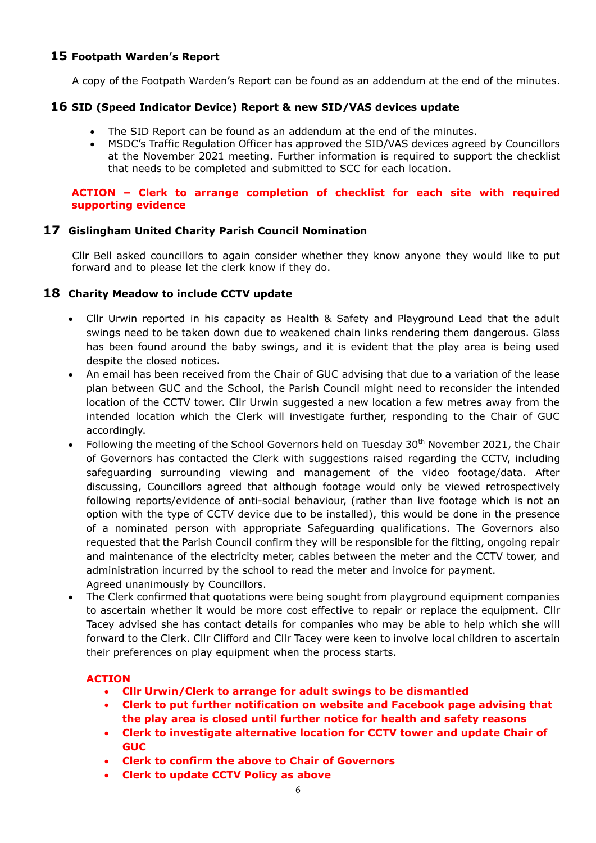## **15 Footpath Warden's Report**

A copy of the Footpath Warden's Report can be found as an addendum at the end of the minutes.

## **16 SID (Speed Indicator Device) Report & new SID/VAS devices update**

- The SID Report can be found as an addendum at the end of the minutes.
- MSDC's Traffic Regulation Officer has approved the SID/VAS devices agreed by Councillors at the November 2021 meeting. Further information is required to support the checklist that needs to be completed and submitted to SCC for each location.

#### **ACTION – Clerk to arrange completion of checklist for each site with required supporting evidence**

## **17 Gislingham United Charity Parish Council Nomination**

Cllr Bell asked councillors to again consider whether they know anyone they would like to put forward and to please let the clerk know if they do.

## **18 Charity Meadow to include CCTV update**

- Cllr Urwin reported in his capacity as Health & Safety and Playground Lead that the adult swings need to be taken down due to weakened chain links rendering them dangerous. Glass has been found around the baby swings, and it is evident that the play area is being used despite the closed notices.
- An email has been received from the Chair of GUC advising that due to a variation of the lease plan between GUC and the School, the Parish Council might need to reconsider the intended location of the CCTV tower. Cllr Urwin suggested a new location a few metres away from the intended location which the Clerk will investigate further, responding to the Chair of GUC accordingly.
- Following the meeting of the School Governors held on Tuesday 30th November 2021, the Chair of Governors has contacted the Clerk with suggestions raised regarding the CCTV, including safeguarding surrounding viewing and management of the video footage/data. After discussing, Councillors agreed that although footage would only be viewed retrospectively following reports/evidence of anti-social behaviour, (rather than live footage which is not an option with the type of CCTV device due to be installed), this would be done in the presence of a nominated person with appropriate Safeguarding qualifications. The Governors also requested that the Parish Council confirm they will be responsible for the fitting, ongoing repair and maintenance of the electricity meter, cables between the meter and the CCTV tower, and administration incurred by the school to read the meter and invoice for payment. Agreed unanimously by Councillors.
- The Clerk confirmed that quotations were being sought from playground equipment companies to ascertain whether it would be more cost effective to repair or replace the equipment. Cllr Tacey advised she has contact details for companies who may be able to help which she will forward to the Clerk. Cllr Clifford and Cllr Tacey were keen to involve local children to ascertain their preferences on play equipment when the process starts.

## **ACTION**

- **Cllr Urwin/Clerk to arrange for adult swings to be dismantled**
- **Clerk to put further notification on website and Facebook page advising that the play area is closed until further notice for health and safety reasons**
- **Clerk to investigate alternative location for CCTV tower and update Chair of GUC**
- **Clerk to confirm the above to Chair of Governors**
- **Clerk to update CCTV Policy as above**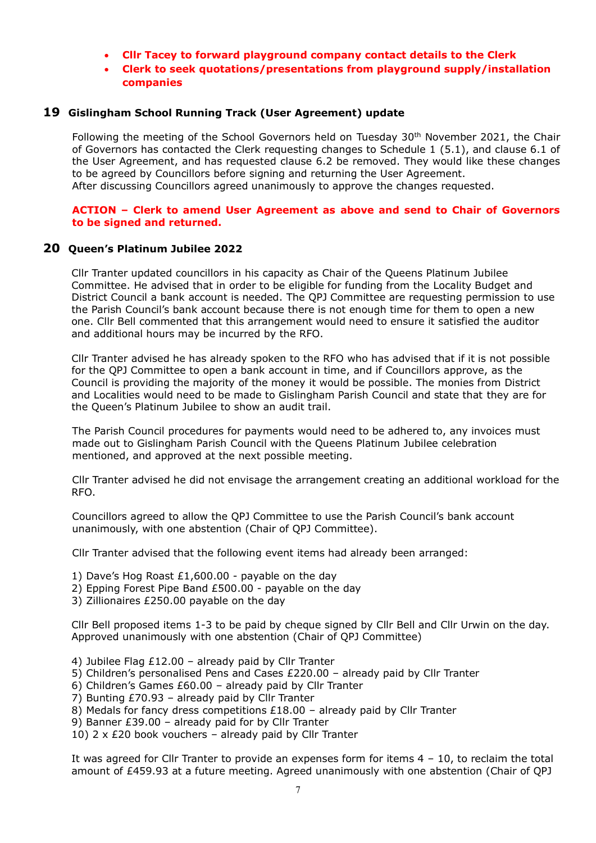- **Cllr Tacey to forward playground company contact details to the Clerk**
- **Clerk to seek quotations/presentations from playground supply/installation companies**

#### **19 Gislingham School Running Track (User Agreement) update**

Following the meeting of the School Governors held on Tuesday  $30<sup>th</sup>$  November 2021, the Chair of Governors has contacted the Clerk requesting changes to Schedule 1 (5.1), and clause 6.1 of the User Agreement, and has requested clause 6.2 be removed. They would like these changes to be agreed by Councillors before signing and returning the User Agreement. After discussing Councillors agreed unanimously to approve the changes requested.

#### **ACTION – Clerk to amend User Agreement as above and send to Chair of Governors to be signed and returned.**

#### **20 Queen's Platinum Jubilee 2022**

Cllr Tranter updated councillors in his capacity as Chair of the Queens Platinum Jubilee Committee. He advised that in order to be eligible for funding from the Locality Budget and District Council a bank account is needed. The QPJ Committee are requesting permission to use the Parish Council's bank account because there is not enough time for them to open a new one. Cllr Bell commented that this arrangement would need to ensure it satisfied the auditor and additional hours may be incurred by the RFO.

Cllr Tranter advised he has already spoken to the RFO who has advised that if it is not possible for the QPJ Committee to open a bank account in time, and if Councillors approve, as the Council is providing the majority of the money it would be possible. The monies from District and Localities would need to be made to Gislingham Parish Council and state that they are for the Queen's Platinum Jubilee to show an audit trail.

The Parish Council procedures for payments would need to be adhered to, any invoices must made out to Gislingham Parish Council with the Queens Platinum Jubilee celebration mentioned, and approved at the next possible meeting.

Cllr Tranter advised he did not envisage the arrangement creating an additional workload for the RFO.

Councillors agreed to allow the QPJ Committee to use the Parish Council's bank account unanimously, with one abstention (Chair of QPJ Committee).

Cllr Tranter advised that the following event items had already been arranged:

- 1) Dave's Hog Roast £1,600.00 payable on the day
- 2) Epping Forest Pipe Band £500.00 payable on the day
- 3) Zillionaires £250.00 payable on the day

Cllr Bell proposed items 1-3 to be paid by cheque signed by Cllr Bell and Cllr Urwin on the day. Approved unanimously with one abstention (Chair of QPJ Committee)

- 4) Jubilee Flag £12.00 already paid by Cllr Tranter
- 5) Children's personalised Pens and Cases £220.00 already paid by Cllr Tranter
- 6) Children's Games £60.00 already paid by Cllr Tranter
- 7) Bunting £70.93 already paid by Cllr Tranter
- 8) Medals for fancy dress competitions £18.00 already paid by Cllr Tranter
- 9) Banner £39.00 already paid for by Cllr Tranter
- 10)  $2 \times$  £20 book vouchers already paid by Cllr Tranter

It was agreed for Cllr Tranter to provide an expenses form for items 4 – 10, to reclaim the total amount of £459.93 at a future meeting. Agreed unanimously with one abstention (Chair of QPJ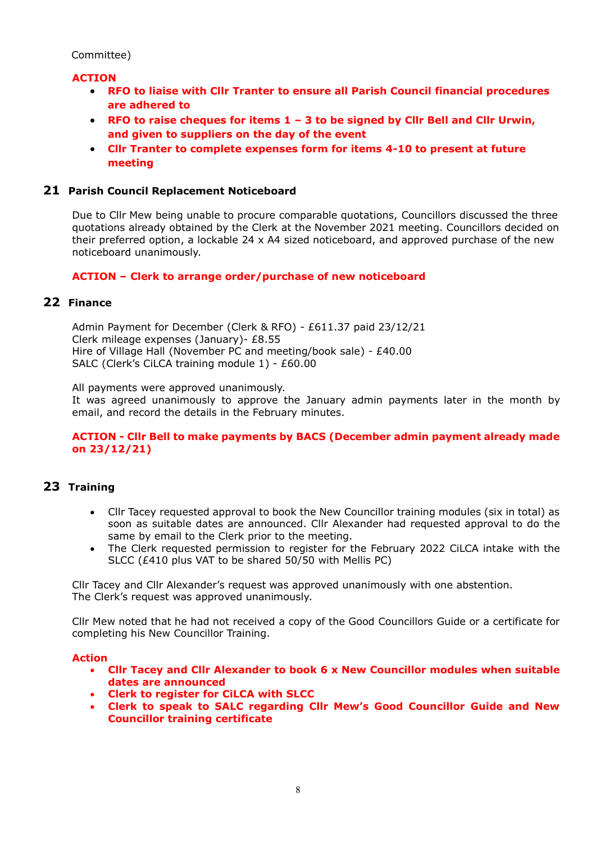Committee)

## **ACTION**

- **RFO to liaise with Cllr Tranter to ensure all Parish Council financial procedures are adhered to**
- **RFO to raise cheques for items 1 – 3 to be signed by Cllr Bell and Cllr Urwin, and given to suppliers on the day of the event**
- **Cllr Tranter to complete expenses form for items 4-10 to present at future meeting**

## **21 Parish Council Replacement Noticeboard**

Due to Cllr Mew being unable to procure comparable quotations, Councillors discussed the three quotations already obtained by the Clerk at the November 2021 meeting. Councillors decided on their preferred option, a lockable 24 x A4 sized noticeboard, and approved purchase of the new noticeboard unanimously.

#### **ACTION – Clerk to arrange order/purchase of new noticeboard**

#### **22 Finance**

Admin Payment for December (Clerk & RFO) - £611.37 paid 23/12/21 Clerk mileage expenses (January)- £8.55 Hire of Village Hall (November PC and meeting/book sale) - £40.00 SALC (Clerk's CiLCA training module 1) - £60.00

All payments were approved unanimously.

It was agreed unanimously to approve the January admin payments later in the month by email, and record the details in the February minutes.

#### **ACTION - Cllr Bell to make payments by BACS (December admin payment already made on 23/12/21)**

## **23 Training**

- Cllr Tacey requested approval to book the New Councillor training modules (six in total) as soon as suitable dates are announced. Cllr Alexander had requested approval to do the same by email to the Clerk prior to the meeting.
- The Clerk requested permission to register for the February 2022 CiLCA intake with the SLCC (£410 plus VAT to be shared 50/50 with Mellis PC)

Cllr Tacey and Cllr Alexander's request was approved unanimously with one abstention. The Clerk's request was approved unanimously.

Cllr Mew noted that he had not received a copy of the Good Councillors Guide or a certificate for completing his New Councillor Training.

#### **Action**

- **Cllr Tacey and Cllr Alexander to book 6 x New Councillor modules when suitable dates are announced**
- **Clerk to register for CiLCA with SLCC**
- **Clerk to speak to SALC regarding Cllr Mew's Good Councillor Guide and New Councillor training certificate**